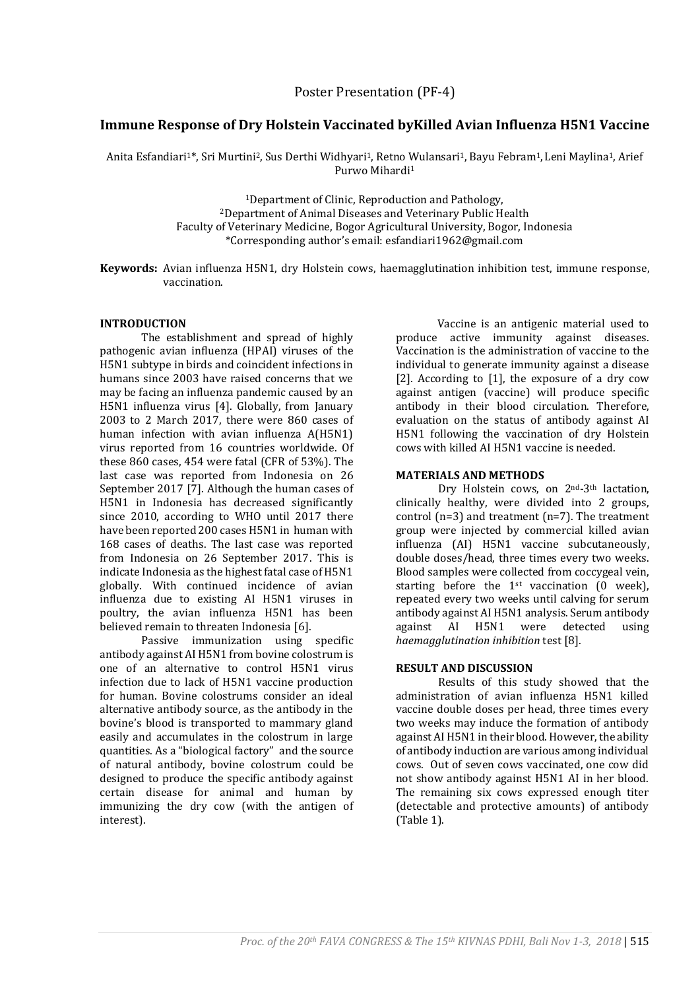# **Immune Response of Dry Holstein Vaccinated byKilled Avian Influenza H5N1 Vaccine**

Anita Esfandiari<sup>1\*</sup>, Sri Murtini<sup>2</sup>, Sus Derthi Widhyari<sup>1</sup>, Retno Wulansari<sup>1</sup>, Bayu Febram<sup>1</sup>, Leni Maylina<sup>1</sup>, Arief Purwo Mihardi<sup>1</sup>

> <sup>1</sup>Department of Clinic, Reproduction and Pathology, <sup>2</sup>Department of Animal Diseases and Veterinary Public Health Faculty of Veterinary Medicine, Bogor Agricultural University, Bogor, Indonesia \*Corresponding author's email: esfandiari1962@gmail.com

**Keywords:** Avian influenza H5N1, dry Holstein cows, haemagglutination inhibition test, immune response, vaccination.

### **INTRODUCTION**

The establishment and spread of highly pathogenic avian influenza (HPAI) viruses of the H5N1 subtype in birds and coincident infections in humans since 2003 have raised concerns that we may be facing an influenza pandemic caused by an H5N1 influenza virus [4]. Globally, from January 2003 to 2 March 2017, there were 860 cases of human infection with avian influenza A(H5N1) virus reported from 16 countries worldwide. Of these 860 cases, 454 were fatal (CFR of 53%). The last case was reported from Indonesia on 26 September 2017 [7]. Although the human cases of H5N1 in Indonesia has decreased significantly since 2010, according to WHO until 2017 there have been reported 200 cases H5N1 in human with 168 cases of deaths. The last case was reported from Indonesia on 26 September 2017. This is indicate Indonesia as the highest fatal case of H5N1 globally. With continued incidence of avian influenza due to existing AI H5N1 viruses in poultry, the avian influenza H5N1 has been believed remain to threaten Indonesia [6].

Passive immunization using specific antibody against AI H5N1 from bovine colostrum is one of an alternative to control H5N1 virus infection due to lack of H5N1 vaccine production for human. Bovine colostrums consider an ideal alternative antibody source, as the antibody in the bovine's blood is transported to mammary gland easily and accumulates in the colostrum in large quantities. As a "biological factory" and the source of natural antibody, bovine colostrum could be designed to produce the specific antibody against certain disease for animal and human by immunizing the dry cow (with the antigen of interest).

Vaccine is an antigenic material used to produce active immunity against diseases. Vaccination is the administration of vaccine to the individual to generate immunity against a disease [2]. According to [1], the exposure of a dry cow against antigen (vaccine) will produce specific antibody in their blood circulation. Therefore, evaluation on the status of antibody against AI H5N1 following the vaccination of dry Holstein cows with killed AI H5N1 vaccine is needed.

### **MATERIALS AND METHODS**

Dry Holstein cows, on 2nd-3th lactation, clinically healthy, were divided into 2 groups, control (n=3) and treatment (n=7). The treatment group were injected by commercial killed avian influenza (AI) H5N1 vaccine subcutaneously, double doses/head, three times every two weeks. Blood samples were collected from coccygeal vein, starting before the  $1<sup>st</sup>$  vaccination (0 week), repeated every two weeks until calving for serum antibody against AI H5N1 analysis. Serum antibody against AI H5N1 were detected using *haemagglutination inhibition* test [8].

#### **RESULT AND DISCUSSION**

Results of this study showed that the administration of avian influenza H5N1 killed vaccine double doses per head, three times every two weeks may induce the formation of antibody against AI H5N1 in their blood. However, the ability of antibody induction are various among individual cows. Out of seven cows vaccinated, one cow did not show antibody against H5N1 AI in her blood. The remaining six cows expressed enough titer (detectable and protective amounts) of antibody (Table 1).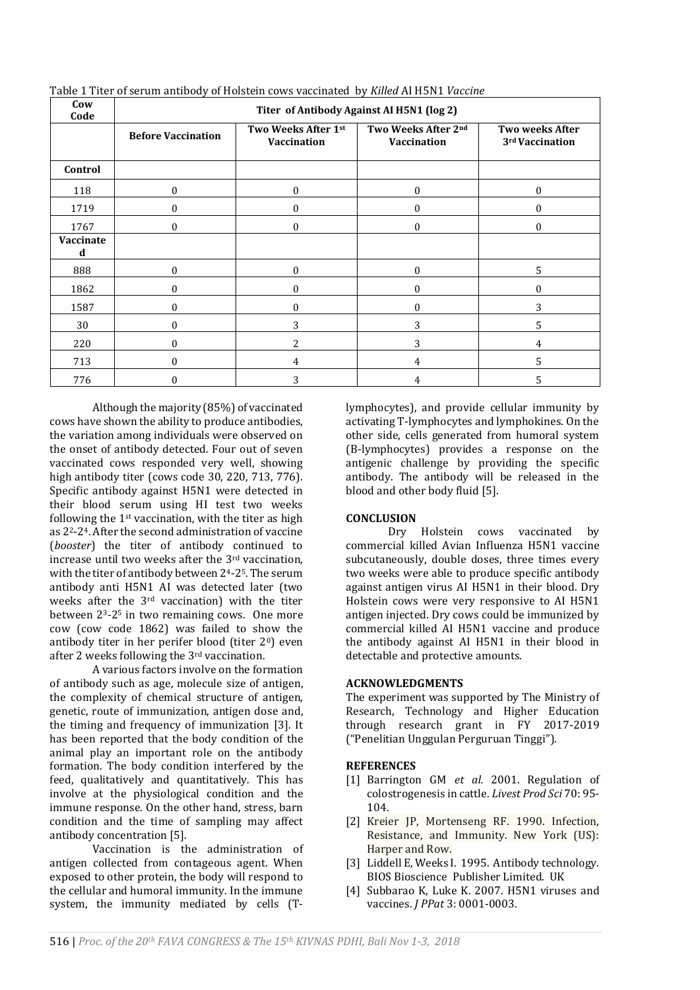| Cow<br>Code    | Titer of Antibody Against AI H5N1 (log 2) |                                    |                                           |                                           |
|----------------|-------------------------------------------|------------------------------------|-------------------------------------------|-------------------------------------------|
|                | <b>Before Vaccination</b>                 | Two Weeks After 1st<br>Vaccination | Two Weeks After 2nd<br><b>Vaccination</b> | <b>Two weeks After</b><br>3rd Vaccination |
| Control        |                                           |                                    |                                           |                                           |
| 118            | 0                                         | $\mathbf{0}$                       | $\mathbf{0}$                              | $\mathbf{0}$                              |
| 1719           | $\theta$                                  | $\Omega$                           | $\Omega$                                  | $\Omega$                                  |
| 1767           | $\theta$                                  | $\theta$                           | $\theta$                                  | $\Omega$                                  |
| Vaccinate<br>d |                                           |                                    |                                           |                                           |
| 888            | $\theta$                                  | $\theta$                           | $\Omega$                                  | 5                                         |
| 1862           | $\theta$                                  | $\theta$                           | $\Omega$                                  | $\theta$                                  |
| 1587           | 0                                         | $\theta$                           | 0                                         | 3                                         |
| 30             | 0                                         | 3                                  | 3                                         | 5                                         |
| 220            | 0                                         | 2                                  | 3                                         | 4                                         |
| 713            | 0                                         | 4                                  | 4                                         | 5                                         |
| 776            | O                                         | 3                                  | 4                                         | 5                                         |

Table 1 Titer of serum antibody of Holstein cows vaccinated by *Killed* AI H5N1 *Vaccine* 

Although the majority (85%) of vaccinated cows have shown the ability to produce antibodies, the variation among individuals were observed on the onset of antibody detected. Four out of seven vaccinated cows responded very well, showing high antibody titer (cows code 30, 220, 713, 776). Specific antibody against H5N1 were detected in their blood serum using HI test two weeks following the 1st vaccination, with the titer as high as 22-24. After the second administration of vaccine (*booster*) the titer of antibody continued to increase until two weeks after the 3rd vaccination, with the titer of antibody between 24-25. The serum antibody anti H5N1 AI was detected later (two weeks after the 3rd vaccination) with the titer between 23-2<sup>5</sup> in two remaining cows. One more cow (cow code 1862) was failed to show the antibody titer in her perifer blood (titer 20) even after 2 weeks following the 3rd vaccination.

A various factors involve on the formation of antibody such as age, molecule size of antigen, the complexity of chemical structure of antigen, genetic, route of immunization, antigen dose and, the timing and frequency of immunization [3]. It has been reported that the body condition of the animal play an important role on the antibody formation. The body condition interfered by the feed, qualitatively and quantitatively. This has involve at the physiological condition and the immune response. On the other hand, stress, barn condition and the time of sampling may affect antibody concentration [5].

Vaccination is the administration of antigen collected from contageous agent. When exposed to other protein, the body will respond to the cellular and humoral immunity. In the immune system, the immunity mediated by cells (T-

lymphocytes), and provide cellular immunity by activating T-lymphocytes and lymphokines. On the other side, cells generated from humoral system (B-lymphocytes) provides a response on the antigenic challenge by providing the specific antibody. The antibody will be released in the blood and other body fluid [5].

# **CONCLUSION**

Dry Holstein cows vaccinated by commercial killed Avian Influenza H5N1 vaccine subcutaneously, double doses, three times every two weeks were able to produce specific antibody against antigen virus AI H5N1 in their blood. Dry Holstein cows were very responsive to AI H5N1 antigen injected. Dry cows could be immunized by commercial killed AI H5N1 vaccine and produce the antibody against AI H5N1 in their blood in detectable and protective amounts.

# **ACKNOWLEDGMENTS**

The experiment was supported by The Ministry of Research, Technology and Higher Education through research grant in FY 2017-2019 ("Penelitian Unggulan Perguruan Tinggi").

# **REFERENCES**

- [1] Barrington GM *et al.* 2001. Regulation of colostrogenesis in cattle. *Livest Prod Sci* 70: 95- 104.
- [2] Kreier JP, Mortenseng RF. 1990. Infection, Resistance, and Immunity. New York (US): Harper and Row.
- [3] Liddell E, Weeks I. 1995. Antibody technology. BIOS Bioscience Publisher Limited. UK
- [4] Subbarao K, Luke K. 2007. H5N1 viruses and vaccines. *J PPat* 3: 0001-0003.